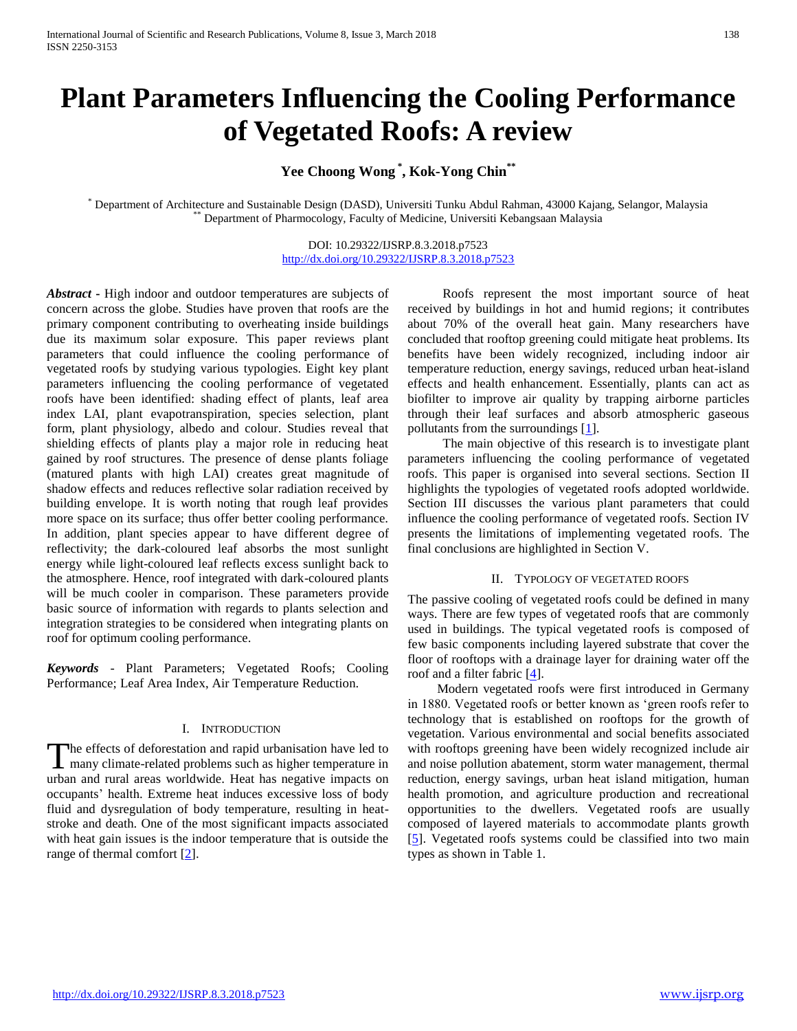# **Plant Parameters Influencing the Cooling Performance of Vegetated Roofs: A review**

**Yee Choong Wong \* , Kok-Yong Chin\*\***

\* Department of Architecture and Sustainable Design (DASD), Universiti Tunku Abdul Rahman, 43000 Kajang, Selangor, Malaysia Department of Pharmocology, Faculty of Medicine, Universiti Kebangsaan Malaysia

> DOI: 10.29322/IJSRP.8.3.2018.p7523 <http://dx.doi.org/10.29322/IJSRP.8.3.2018.p7523>

*Abstract* **-** High indoor and outdoor temperatures are subjects of concern across the globe. Studies have proven that roofs are the primary component contributing to overheating inside buildings due its maximum solar exposure. This paper reviews plant parameters that could influence the cooling performance of vegetated roofs by studying various typologies. Eight key plant parameters influencing the cooling performance of vegetated roofs have been identified: shading effect of plants, leaf area index LAI, plant evapotranspiration, species selection, plant form, plant physiology, albedo and colour. Studies reveal that shielding effects of plants play a major role in reducing heat gained by roof structures. The presence of dense plants foliage (matured plants with high LAI) creates great magnitude of shadow effects and reduces reflective solar radiation received by building envelope. It is worth noting that rough leaf provides more space on its surface; thus offer better cooling performance. In addition, plant species appear to have different degree of reflectivity; the dark-coloured leaf absorbs the most sunlight energy while light-coloured leaf reflects excess sunlight back to the atmosphere. Hence, roof integrated with dark-coloured plants will be much cooler in comparison. These parameters provide basic source of information with regards to plants selection and integration strategies to be considered when integrating plants on roof for optimum cooling performance.

*Keywords* - Plant Parameters; Vegetated Roofs; Cooling Performance; Leaf Area Index, Air Temperature Reduction.

# I. INTRODUCTION

The effects of deforestation and rapid urbanisation have led to The effects of deforestation and rapid urbanisation have led to many climate-related problems such as higher temperature in urban and rural areas worldwide. Heat has negative impacts on occupants' health. Extreme heat induces excessive loss of body fluid and dysregulation of body temperature, resulting in heatstroke and death. One of the most significant impacts associated with heat gain issues is the indoor temperature that is outside the range of thermal comfort [2].

Roofs represent the most important source of heat received by buildings in hot and humid regions; it contributes about 70% of the overall heat gain. Many researchers have concluded that rooftop greening could mitigate heat problems. Its benefits have been widely recognized, including indoor air temperature reduction, energy savings, reduced urban heat-island effects and health enhancement. Essentially, plants can act as biofilter to improve air quality by trapping airborne particles through their leaf surfaces and absorb atmospheric gaseous pollutants from the surroundings  $[1]$ .

The main objective of this research is to investigate plant parameters influencing the cooling performance of vegetated roofs. This paper is organised into several sections. Section II highlights the typologies of vegetated roofs adopted worldwide. Section III discusses the various plant parameters that could influence the cooling performance of vegetated roofs. Section IV presents the limitations of implementing vegetated roofs. The final conclusions are highlighted in Section V.

## II. TYPOLOGY OF VEGETATED ROOFS

The passive cooling of vegetated roofs could be defined in many ways. There are few types of vegetated roofs that are commonly used in buildings. The typical vegetated roofs is composed of few basic components including layered substrate that cover the floor of rooftops with a drainage layer for draining water off the roof and a filter fabric  $[4]$ .

 Modern vegetated roofs were first introduced in Germany in 1880. Vegetated roofs or better known as 'green roofs refer to technology that is established on rooftops for the growth of vegetation. Various environmental and social benefits associated with rooftops greening have been widely recognized include air and noise pollution abatement, storm water management, thermal reduction, energy savings, urban heat island mitigation, human health promotion, and agriculture production and recreational opportunities to the dwellers. Vegetated roofs are usually composed of layered materials to accommodate plants growth [5]. Vegetated roofs systems could be classified into two main types as shown in Table 1.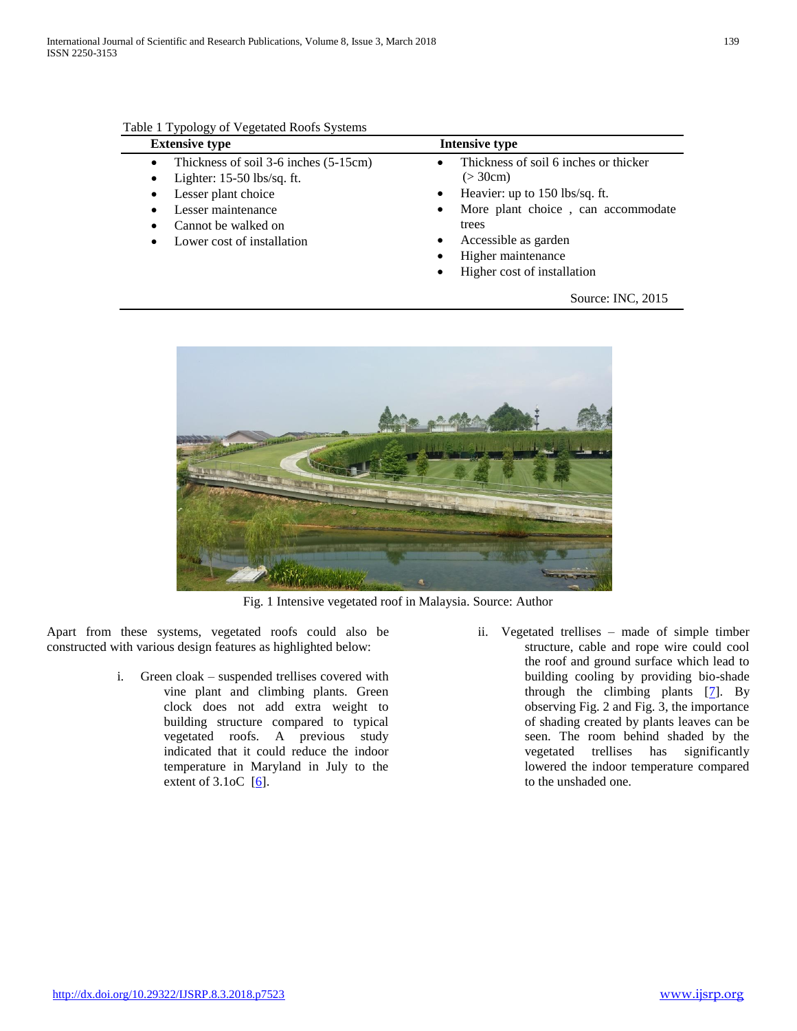Table 1 Typology of Vegetated Roofs Systems

| <b>Extensive type</b>                                                                                                                                                                                       | Intensive type                                                                                                                                                                                                                                                                                  |
|-------------------------------------------------------------------------------------------------------------------------------------------------------------------------------------------------------------|-------------------------------------------------------------------------------------------------------------------------------------------------------------------------------------------------------------------------------------------------------------------------------------------------|
| Thickness of soil 3-6 inches (5-15cm)<br>Lighter: $15-50$ lbs/sq. ft.<br>$\bullet$<br>Lesser plant choice<br>$\bullet$<br>Lesser maintenance<br>Cannot be walked on<br>٠<br>Lower cost of installation<br>٠ | Thickness of soil 6 inches or thicker<br>$\bullet$<br>$(>$ 30cm)<br>Heavier: up to 150 lbs/sq. ft.<br>$\bullet$<br>More plant choice, can accommodate<br>$\bullet$<br>trees<br>Accessible as garden<br>$\bullet$<br>Higher maintenance<br>$\bullet$<br>Higher cost of installation<br>$\bullet$ |
|                                                                                                                                                                                                             | Source: INC, 2015                                                                                                                                                                                                                                                                               |



Fig. 1 Intensive vegetated roof in Malaysia. Source: Author

Apart from these systems, vegetated roofs could also be constructed with various design features as highlighted below:

- i. Green cloak suspended trellises covered with vine plant and climbing plants. Green clock does not add extra weight to building structure compared to typical vegetated roofs. A previous study indicated that it could reduce the indoor temperature in Maryland in July to the extent of  $3.1$ oC  $[6]$ .
- ii. Vegetated trellises made of simple timber structure, cable and rope wire could cool the roof and ground surface which lead to building cooling by providing bio-shade through the climbing plants  $[7]$ . By observing Fig. 2 and Fig. 3, the importance of shading created by plants leaves can be seen. The room behind shaded by the vegetated trellises has significantly lowered the indoor temperature compared to the unshaded one.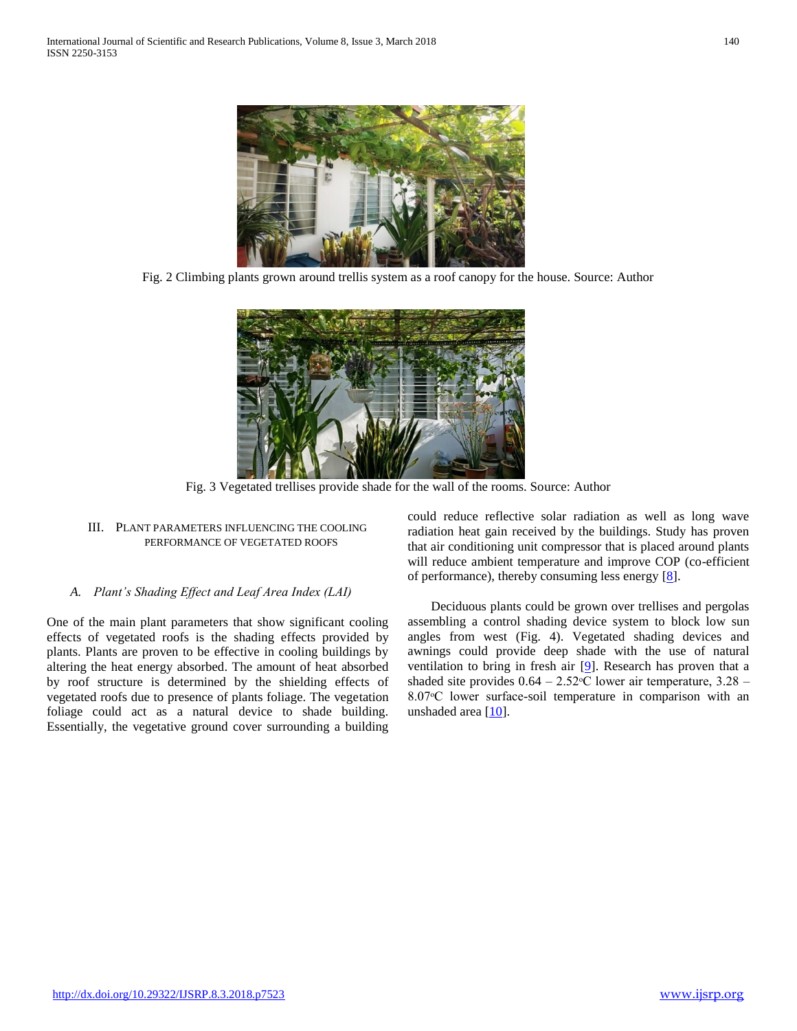

Fig. 2 Climbing plants grown around trellis system as a roof canopy for the house. Source: Author



Fig. 3 Vegetated trellises provide shade for the wall of the rooms. Source: Author

# III. PLANT PARAMETERS INFLUENCING THE COOLING PERFORMANCE OF VEGETATED ROOFS

# *A. Plant's Shading Effect and Leaf Area Index (LAI)*

One of the main plant parameters that show significant cooling effects of vegetated roofs is the shading effects provided by plants. Plants are proven to be effective in cooling buildings by altering the heat energy absorbed. The amount of heat absorbed by roof structure is determined by the shielding effects of vegetated roofs due to presence of plants foliage. The vegetation foliage could act as a natural device to shade building. Essentially, the vegetative ground cover surrounding a building could reduce reflective solar radiation as well as long wave radiation heat gain received by the buildings. Study has proven that air conditioning unit compressor that is placed around plants will reduce ambient temperature and improve COP (co-efficient of performance), thereby consuming less energy [8].

Deciduous plants could be grown over trellises and pergolas assembling a control shading device system to block low sun angles from west (Fig. 4). Vegetated shading devices and awnings could provide deep shade with the use of natural ventilation to bring in fresh air  $[9]$ . Research has proven that a shaded site provides  $0.64 - 2.52$ <sup>o</sup>C lower air temperature,  $3.28 -$ 8.07 °C lower surface-soil temperature in comparison with an unshaded area [10].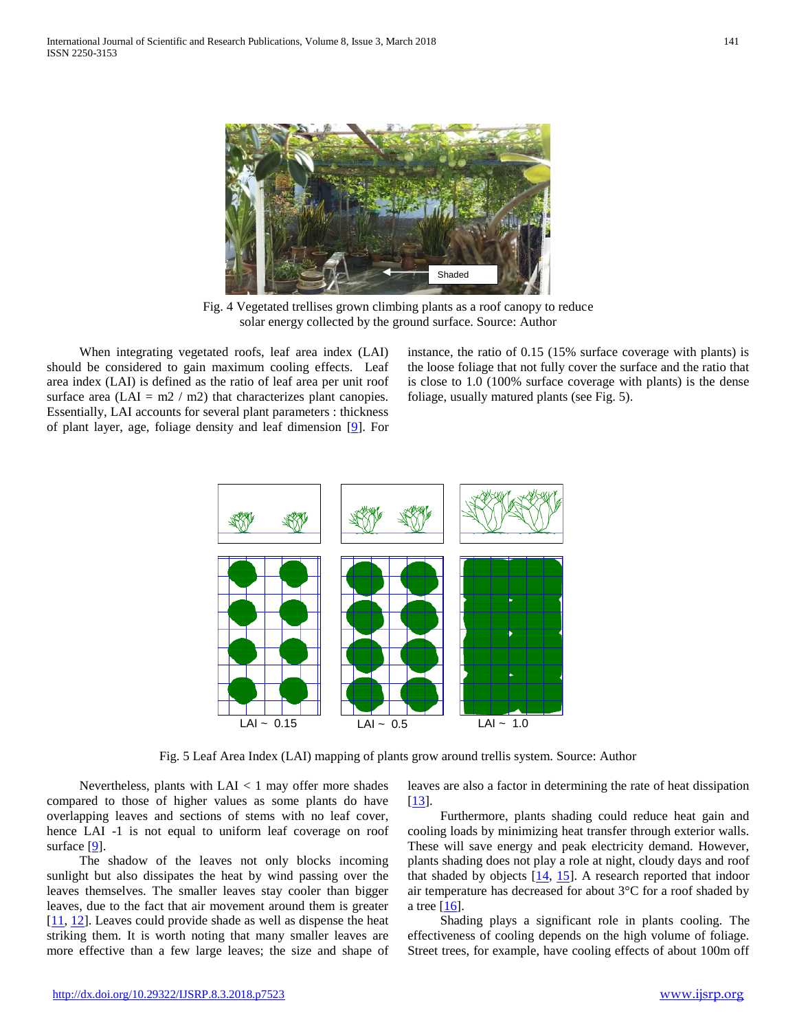

Fig. 4 Vegetated trellises grown climbing plants as a roof canopy to reduce solar energy collected by the ground surface. Source: Author

 When integrating vegetated roofs, leaf area index (LAI) should be considered to gain maximum cooling effects. Leaf area index (LAI) is defined as the ratio of leaf area per unit roof surface area (LAI =  $m2 / m2$ ) that characterizes plant canopies. Essentially, LAI accounts for several plant parameters : thickness of plant layer, age, foliage density and leaf dimension [9]. For

instance, the ratio of 0.15 (15% surface coverage with plants) is the loose foliage that not fully cover the surface and the ratio that is close to 1.0 (100% surface coverage with plants) is the dense foliage, usually matured plants (see Fig. 5).



Fig. 5 Leaf Area Index (LAI) mapping of plants grow around trellis system. Source: Author

Nevertheless, plants with  $LAI < 1$  may offer more shades compared to those of higher values as some plants do have overlapping leaves and sections of stems with no leaf cover, hence LAI -1 is not equal to uniform leaf coverage on roof surface [9].

 The shadow of the leaves not only blocks incoming sunlight but also dissipates the heat by wind passing over the leaves themselves. The smaller leaves stay cooler than bigger leaves, due to the fact that air movement around them is greater [11, 12]. Leaves could provide shade as well as dispense the heat striking them. It is worth noting that many smaller leaves are more effective than a few large leaves; the size and shape of leaves are also a factor in determining the rate of heat dissipation [13].

 Furthermore, plants shading could reduce heat gain and cooling loads by minimizing heat transfer through exterior walls. These will save energy and peak electricity demand. However, plants shading does not play a role at night, cloudy days and roof that shaded by objects [14, 15]. A research reported that indoor air temperature has decreased for about 3°C for a roof shaded by a tree  $[16]$ .

 Shading plays a significant role in plants cooling. The effectiveness of cooling depends on the high volume of foliage. Street trees, for example, have cooling effects of about 100m off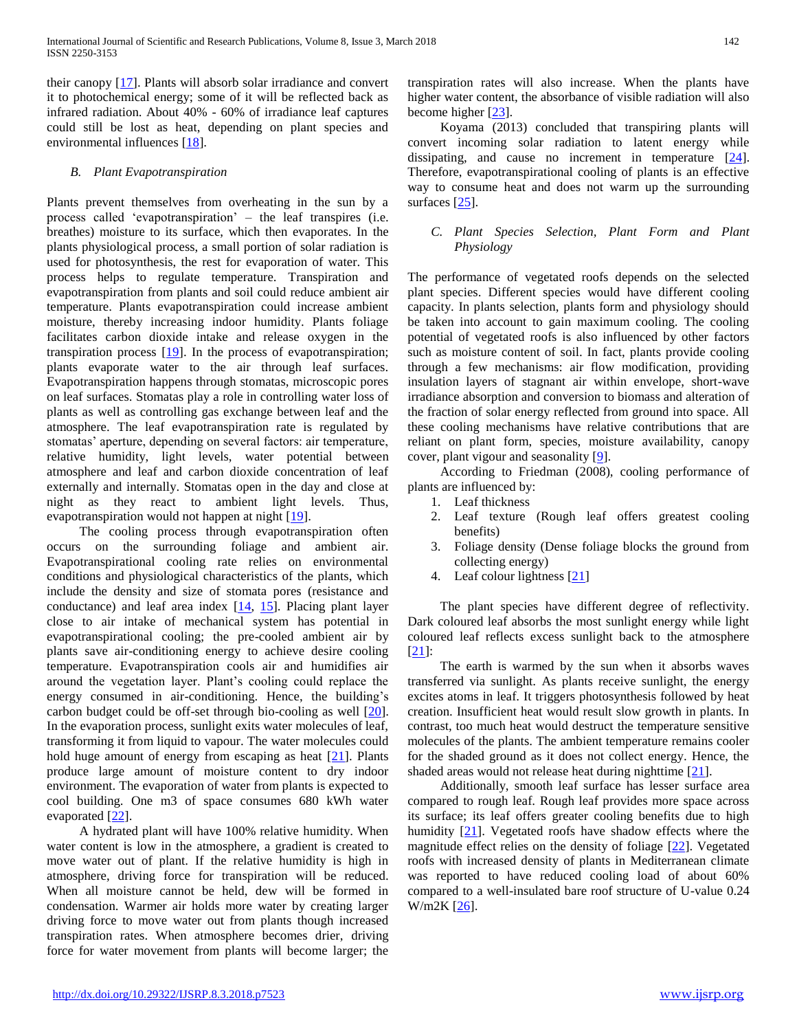their canopy [17]. Plants will absorb solar irradiance and convert it to photochemical energy; some of it will be reflected back as infrared radiation. About 40% - 60% of irradiance leaf captures could still be lost as heat, depending on plant species and environmental influences [18].

## *B. Plant Evapotranspiration*

Plants prevent themselves from overheating in the sun by a process called 'evapotranspiration' – the leaf transpires (i.e. breathes) moisture to its surface, which then evaporates. In the plants physiological process, a small portion of solar radiation is used for photosynthesis, the rest for evaporation of water. This process helps to regulate temperature. Transpiration and evapotranspiration from plants and soil could reduce ambient air temperature. Plants evapotranspiration could increase ambient moisture, thereby increasing indoor humidity. Plants foliage facilitates carbon dioxide intake and release oxygen in the transpiration process [19]. In the process of evapotranspiration; plants evaporate water to the air through leaf surfaces. Evapotranspiration happens through stomatas, microscopic pores on leaf surfaces. Stomatas play a role in controlling water loss of plants as well as controlling gas exchange between leaf and the atmosphere. The leaf evapotranspiration rate is regulated by stomatas' aperture, depending on several factors: air temperature, relative humidity, light levels, water potential between atmosphere and leaf and carbon dioxide concentration of leaf externally and internally. Stomatas open in the day and close at night as they react to ambient light levels. Thus, evapotranspiration would not happen at night [19].

 The cooling process through evapotranspiration often occurs on the surrounding foliage and ambient air. Evapotranspirational cooling rate relies on environmental conditions and physiological characteristics of the plants, which include the density and size of stomata pores (resistance and conductance) and leaf area index  $[14, 15]$ . Placing plant layer close to air intake of mechanical system has potential in evapotranspirational cooling; the pre-cooled ambient air by plants save air-conditioning energy to achieve desire cooling temperature. Evapotranspiration cools air and humidifies air around the vegetation layer. Plant's cooling could replace the energy consumed in air-conditioning. Hence, the building's carbon budget could be off-set through bio-cooling as well [20]. In the evaporation process, sunlight exits water molecules of leaf, transforming it from liquid to vapour. The water molecules could hold huge amount of energy from escaping as heat [21]. Plants produce large amount of moisture content to dry indoor environment. The evaporation of water from plants is expected to cool building. One m3 of space consumes 680 kWh water evaporated [22].

 A hydrated plant will have 100% relative humidity. When water content is low in the atmosphere, a gradient is created to move water out of plant. If the relative humidity is high in atmosphere, driving force for transpiration will be reduced. When all moisture cannot be held, dew will be formed in condensation. Warmer air holds more water by creating larger driving force to move water out from plants though increased transpiration rates. When atmosphere becomes drier, driving force for water movement from plants will become larger; the transpiration rates will also increase. When the plants have higher water content, the absorbance of visible radiation will also become higher [23].

 Koyama (2013) concluded that transpiring plants will convert incoming solar radiation to latent energy while dissipating, and cause no increment in temperature  $[24]$ . Therefore, evapotranspirational cooling of plants is an effective way to consume heat and does not warm up the surrounding surfaces [25].

# *C. Plant Species Selection, Plant Form and Plant Physiology*

The performance of vegetated roofs depends on the selected plant species. Different species would have different cooling capacity. In plants selection, plants form and physiology should be taken into account to gain maximum cooling. The cooling potential of vegetated roofs is also influenced by other factors such as moisture content of soil. In fact, plants provide cooling through a few mechanisms: air flow modification, providing insulation layers of stagnant air within envelope, short-wave irradiance absorption and conversion to biomass and alteration of the fraction of solar energy reflected from ground into space. All these cooling mechanisms have relative contributions that are reliant on plant form, species, moisture availability, canopy cover, plant vigour and seasonality [9].

 According to Friedman (2008), cooling performance of plants are influenced by:

- 1. Leaf thickness
- 2. Leaf texture (Rough leaf offers greatest cooling benefits)
- 3. Foliage density (Dense foliage blocks the ground from collecting energy)
- 4. Leaf colour lightness [21]

 The plant species have different degree of reflectivity. Dark coloured leaf absorbs the most sunlight energy while light coloured leaf reflects excess sunlight back to the atmosphere [21]:

 The earth is warmed by the sun when it absorbs waves transferred via sunlight. As plants receive sunlight, the energy excites atoms in leaf. It triggers photosynthesis followed by heat creation. Insufficient heat would result slow growth in plants. In contrast, too much heat would destruct the temperature sensitive molecules of the plants. The ambient temperature remains cooler for the shaded ground as it does not collect energy. Hence, the shaded areas would not release heat during nighttime [21].

 Additionally, smooth leaf surface has lesser surface area compared to rough leaf. Rough leaf provides more space across its surface; its leaf offers greater cooling benefits due to high humidity [21]. Vegetated roofs have shadow effects where the magnitude effect relies on the density of foliage [22]. Vegetated roofs with increased density of plants in Mediterranean climate was reported to have reduced cooling load of about 60% compared to a well-insulated bare roof structure of U-value 0.24  $W/m2K$  [26].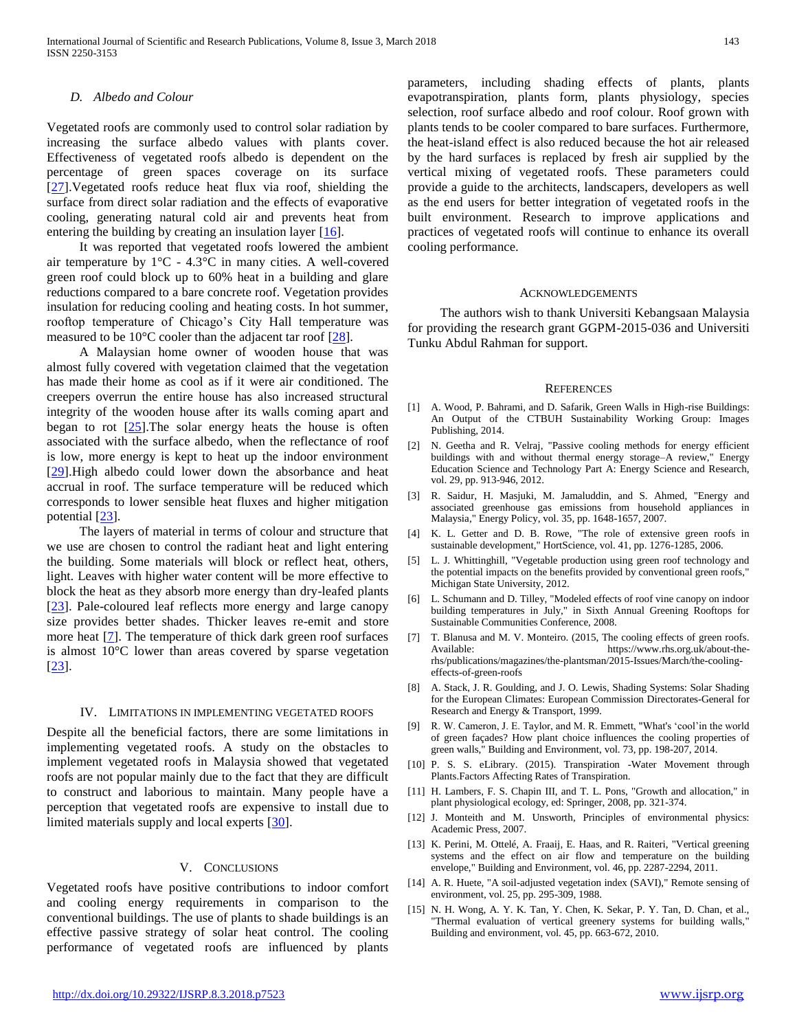## *D. Albedo and Colour*

Vegetated roofs are commonly used to control solar radiation by increasing the surface albedo values with plants cover. Effectiveness of vegetated roofs albedo is dependent on the percentage of green spaces coverage on its surface [27].Vegetated roofs reduce heat flux via roof, shielding the surface from direct solar radiation and the effects of evaporative cooling, generating natural cold air and prevents heat from entering the building by creating an insulation layer [16].

 It was reported that vegetated roofs lowered the ambient air temperature by 1°C - 4.3°C in many cities. A well-covered green roof could block up to 60% heat in a building and glare reductions compared to a bare concrete roof. Vegetation provides insulation for reducing cooling and heating costs. In hot summer, rooftop temperature of Chicago's City Hall temperature was measured to be 10°C cooler than the adjacent tar roof [28].

 A Malaysian home owner of wooden house that was almost fully covered with vegetation claimed that the vegetation has made their home as cool as if it were air conditioned. The creepers overrun the entire house has also increased structural integrity of the wooden house after its walls coming apart and began to rot  $[25]$ . The solar energy heats the house is often associated with the surface albedo, when the reflectance of roof is low, more energy is kept to heat up the indoor environment [29].High albedo could lower down the absorbance and heat accrual in roof. The surface temperature will be reduced which corresponds to lower sensible heat fluxes and higher mitigation potential [23].

 The layers of material in terms of colour and structure that we use are chosen to control the radiant heat and light entering the building. Some materials will block or reflect heat, others, light. Leaves with higher water content will be more effective to block the heat as they absorb more energy than dry-leafed plants [23]. Pale-coloured leaf reflects more energy and large canopy size provides better shades. Thicker leaves re-emit and store more heat [7]. The temperature of thick dark green roof surfaces is almost 10°C lower than areas covered by sparse vegetation [23].

#### IV. LIMITATIONS IN IMPLEMENTING VEGETATED ROOFS

Despite all the beneficial factors, there are some limitations in implementing vegetated roofs. A study on the obstacles to implement vegetated roofs in Malaysia showed that vegetated roofs are not popular mainly due to the fact that they are difficult to construct and laborious to maintain. Many people have a perception that vegetated roofs are expensive to install due to limited materials supply and local experts [30].

## V. CONCLUSIONS

Vegetated roofs have positive contributions to indoor comfort and cooling energy requirements in comparison to the conventional buildings. The use of plants to shade buildings is an effective passive strategy of solar heat control. The cooling performance of vegetated roofs are influenced by plants

parameters, including shading effects of plants, plants evapotranspiration, plants form, plants physiology, species selection, roof surface albedo and roof colour. Roof grown with plants tends to be cooler compared to bare surfaces. Furthermore, the heat-island effect is also reduced because the hot air released by the hard surfaces is replaced by fresh air supplied by the vertical mixing of vegetated roofs. These parameters could provide a guide to the architects, landscapers, developers as well as the end users for better integration of vegetated roofs in the built environment. Research to improve applications and practices of vegetated roofs will continue to enhance its overall cooling performance.

#### **ACKNOWLEDGEMENTS**

 The authors wish to thank Universiti Kebangsaan Malaysia for providing the research grant GGPM-2015-036 and Universiti Tunku Abdul Rahman for support.

#### **REFERENCES**

- [1] A. Wood, P. Bahrami, and D. Safarik, Green Walls in High-rise Buildings: An Output of the CTBUH Sustainability Working Group: Images Publishing, 2014.
- [2] N. Geetha and R. Velraj, "Passive cooling methods for energy efficient buildings with and without thermal energy storage–A review," Energy Education Science and Technology Part A: Energy Science and Research, vol. 29, pp. 913-946, 2012.
- [3] R. Saidur, H. Masjuki, M. Jamaluddin, and S. Ahmed, "Energy and associated greenhouse gas emissions from household appliances in Malaysia," Energy Policy, vol. 35, pp. 1648-1657, 2007.
- [4] K. L. Getter and D. B. Rowe, "The role of extensive green roofs in sustainable development," HortScience, vol. 41, pp. 1276-1285, 2006.
- [5] L. J. Whittinghill, "Vegetable production using green roof technology and the potential impacts on the benefits provided by conventional green roofs," Michigan State University, 2012.
- [6] L. Schumann and D. Tilley, "Modeled effects of roof vine canopy on indoor building temperatures in July," in Sixth Annual Greening Rooftops for Sustainable Communities Conference, 2008.
- [7] T. Blanusa and M. V. Monteiro. (2015, The cooling effects of green roofs. Available: https://www.rhs.org.uk/about-therhs/publications/magazines/the-plantsman/2015-Issues/March/the-coolingeffects-of-green-roofs
- [8] A. Stack, J. R. Goulding, and J. O. Lewis, Shading Systems: Solar Shading for the European Climates: European Commission Directorates-General for Research and Energy & Transport, 1999.
- [9] R. W. Cameron, J. E. Taylor, and M. R. Emmett, "What's 'cool'in the world of green façades? How plant choice influences the cooling properties of green walls," Building and Environment, vol. 73, pp. 198-207, 2014.
- [10] P. S. S. eLibrary. (2015). Transpiration -Water Movement through Plants.Factors Affecting Rates of Transpiration.
- [11] H. Lambers, F. S. Chapin III, and T. L. Pons, "Growth and allocation," in plant physiological ecology, ed: Springer, 2008, pp. 321-374.
- [12] J. Monteith and M. Unsworth, Principles of environmental physics: Academic Press, 2007.
- [13] K. Perini, M. Ottelé, A. Fraaij, E. Haas, and R. Raiteri, "Vertical greening systems and the effect on air flow and temperature on the building envelope," Building and Environment, vol. 46, pp. 2287-2294, 2011.
- [14] A. R. Huete, "A soil-adjusted vegetation index (SAVI)," Remote sensing of environment, vol. 25, pp. 295-309, 1988.
- [15] N. H. Wong, A. Y. K. Tan, Y. Chen, K. Sekar, P. Y. Tan, D. Chan, et al., "Thermal evaluation of vertical greenery systems for building walls," Building and environment, vol. 45, pp. 663-672, 2010.